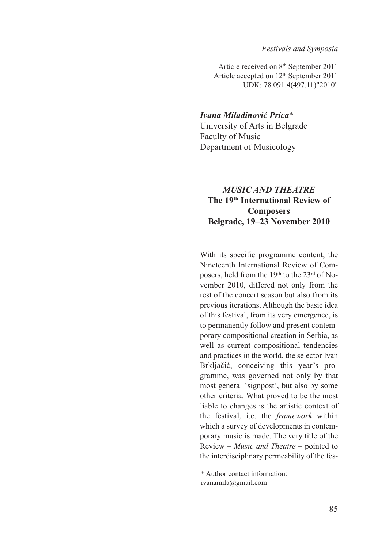Article received on 8th September 2011 Article accepted on 12th September 2011 UDK: 78.091.4(497.11)"2010"

## *Ivana Miladinović Prica*\*

University of Arts in Belgrade Faculty of Music Department of Musicology

## *MUSIC AND THEATRE* **The 19th International Review of Composers Belgrade, 19–23 November 2010**

With its specific programme content, the Nineteenth International Review of Composers, held from the 19th to the 23rd of November 2010, differed not only from the rest of the concert season but also from its previous iterations. Although the basic idea of this festival, from its very emergence, is to permanently follow and present contemporary compositional creation in Serbia, as well as current compositional tendencies and practices in the world, the selector Ivan Brkljačić, conceiving this year's programme, was governed not only by that most general 'signpost', but also by some other criteria. What proved to be the most liable to changes is the artistic context of the festival, i.e. the *framework* within which a survey of developments in contemporary music is made. The very title of the Review – *Music and Theatre* – pointed to the interdisciplinary permeability of the fes-

<sup>\*</sup> Author contact information:

ivanamila@gmail.com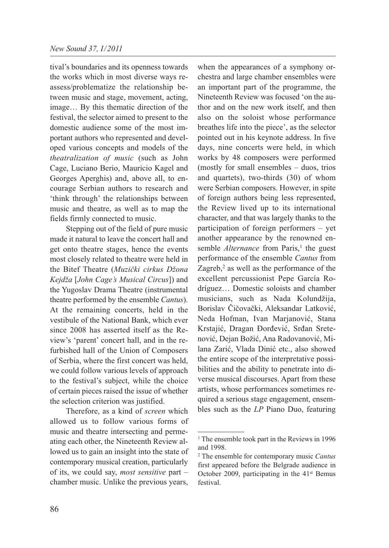tival's boundaries and its openness towards the works which in most diverse ways reassess/problematize the relationship between music and stage, movement, acting, image… By this thematic direction of the festival, the selector aimed to present to the domestic audience some of the most important authors who represented and developed various concepts and models of the *theatralization of music* (such as John Cage, Luciano Berio, Mauricio Kagel and Georges Aperghis) and, above all, to encourage Serbian authors to research and 'think through' the relationships between music and theatre, as well as to map the fields firmly connected to music.

Stepping out of the field of pure music made it natural to leave the concert hall and get onto theatre stages, hence the events most closely related to theatre were held in the Bitef Theatre (*Muzički cirkus Džona Kejdža* [*John Cage's Musical Circus*]) and the Yugoslav Drama Theatre (instrumental theatre performed by the ensemble *Cantus*). At the remaining concerts, held in the vestibule of the National Bank, which ever since 2008 has asserted itself as the Review's 'parent' concert hall, and in the refurbished hall of the Union of Composers of Serbia, where the first concert was held, we could follow various levels of approach to the festival's subject, while the choice of certain pieces raised the issue of whether the selection criterion was justified.

Therefore, as a kind of *screen* which allowed us to follow various forms of music and theatre intersecting and permeating each other, the Nineteenth Review allowed us to gain an insight into the state of contemporary musical creation, particularly of its, we could say, *most sensitive* part – chamber music. Unlike the previous years,

when the appearances of a symphony orchestra and large chamber ensembles were an important part of the programme, the Nineteenth Review was focused 'on the author and on the new work itself, and then also on the soloist whose performance breathes life into the piece', as the selector pointed out in his keynote address. In five days, nine concerts were held, in which works by 48 composers were performed (mostly for small ensembles – duos, trios and quartets), two-thirds (30) of whom were Serbian composers. However, in spite of foreign authors being less represented, the Review lived up to its international character, and that was largely thanks to the participation of foreign performers – yet another appearance by the renowned ensemble *Alternance* from Paris,<sup>1</sup> the guest performance of the ensemble *Cantus* from Zagreb, $<sup>2</sup>$  as well as the performance of the</sup> excellent percussionist Pepe García Rodríguez… Domestic soloists and chamber musicians, such as Nada Kolundžija, Borislav Čičovački, Aleksandar Latković, Neda Hofman, Ivan Marjanović, Stana Krstajić, Dragan Đorđević, Srđan Srete nović, Dejan Božić, Ana Radovanović, Milana Zarić, Vlada Dinić etc., also showed the entire scope of the interpretative possibilities and the ability to penetrate into diverse musical discourses. Apart from these artists, whose performances sometimes required a serious stage engagement, ensembles such as the *LP* Piano Duo, featuring

<sup>&</sup>lt;sup>1</sup> The ensemble took part in the Reviews in 1996 and 1998.

<sup>2</sup> The ensemble for contemporary music *Cantus* first appeared before the Belgrade audience in October 2009, participating in the 41<sup>st</sup> Bemus festival.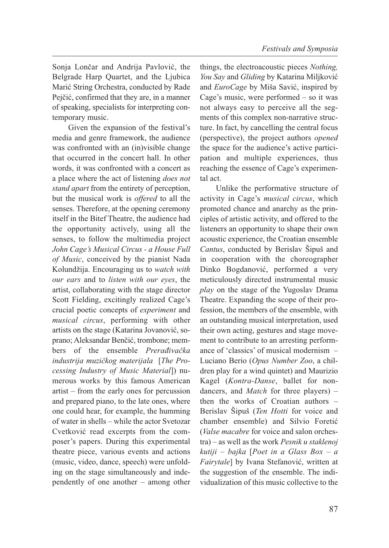Sonja Lončar and Andrija Pavlović, the Belgrade Harp Quartet, and the Ljubica Marić String Orchestra, conducted by Rade Pejčić, confirmed that they are, in a manner of speaking, specialists for interpreting contemporary music.

Given the expansion of the festival's media and genre framework, the audience was confronted with an (in)visible change that occurred in the concert hall. In other words, it was confronted with a concert as a place where the act of listening *does not stand apart* from the entirety of perception, but the musical work is *offered* to all the senses. Therefore, at the opening ceremony itself in the Bitef Theatre, the audience had the opportunity actively, using all the senses, to follow the multimedia project *John Cage's Musical Circus - a House Full of Music*, conceived by the pianist Nada Kolundžija. Encouraging us to *watch with our ears* and to *listen with our eyes*, the artist, collaborating with the stage director Scott Fielding, excitingly realized Cage's crucial poetic concepts of *experiment* and *musical circus*, performing with other artists on the stage (Katarina Jovanović, soprano; Aleksandar Benčić, trombone; members of the ensemble *Prerađivačka industrija muzičkog materijala* [*The Processing Industry of Music Material*]) numerous works by this famous American artist – from the early ones for percussion and prepared piano, to the late ones, where one could hear, for example, the humming of water in shells – while the actor Svetozar Cvetković read excerpts from the composer's papers. During this experimental theatre piece, various events and actions (music, video, dance, speech) were unfolding on the stage simultaneously and independently of one another – among other

things, the electroacoustic pieces *Nothing, You Say* and *Gliding* by Katarina Miljković and *EuroCage* by Miša Savić, inspired by Cage's music, were performed – so it was not always easy to perceive all the segments of this complex non-narrative structure. In fact, by cancelling the central focus (perspective), the project authors *opened* the space for the audience's active participation and multiple experiences, thus reaching the essence of Cage's experimental act.

Unlike the performative structure of activity in Cage's *musical circus*, which promoted chance and anarchy as the principles of artistic activity, and offered to the listeners an opportunity to shape their own acoustic experience, the Croatian ensemble *Cantus*, conducted by Berislav Šipuš and in cooperation with the choreographer Dinko Bogdanović, performed a very meticulously directed instrumental music *play* on the stage of the Yugoslav Drama Theatre. Expanding the scope of their profession, the members of the ensemble, with an outstanding musical interpretation, used their own acting, gestures and stage movement to contribute to an arresting performance of 'classics' of musical modernism – Luciano Berio (*Opus Number Zoo*, a children play for a wind quintet) and Maurizio Kagel (*Kontra-Danse*, ballet for nondancers, and *Match* for three players) – then the works of Croatian authors – Berislav Šipuš (*Ten Hotti* for voice and chamber ensemble) and Silvio Foretić (*Valse macabre* for voice and salon orchestra) – as well as the work *Pesnik u staklenoj kutiji – bajka* [*Poet in a Glass Box – a Fairytale*] by Ivana Stefanović, written at the suggestion of the ensemble. The individualization of this music collective to the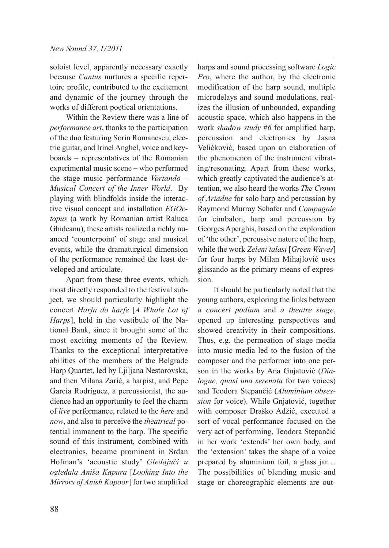soloist level, apparently necessary exactly because *Cantus* nurtures a specific repertoire profile, contributed to the excitement and dynamic of the journey through the works of different poetical orientations.

Within the Review there was a line of *performance art*, thanks to the participation of the duo featuring Sorin Romanescu, electric guitar, and Irinel Anghel, voice and keyboards – representatives of the Romanian experimental music scene – who performed the stage music performance *Vortando – Musical Concert of the Inner World*. By playing with blindfolds inside the interactive visual concept and installation *EGOctopus* (a work by Romanian artist Raluca Ghideanu), these artists realized a richly nuanced 'counterpoint' of stage and musical events, while the dramaturgical dimension of the performance remained the least developed and articulate.

Apart from these three events, which most directly responded to the festival subject, we should particularly highlight the concert *Harfa do harfe* [*A Whole Lot of Harps*], held in the vestibule of the National Bank, since it brought some of the most exciting moments of the Review. Thanks to the exceptional interpretative abilities of the members of the Belgrade Harp Quartet, led by Ljiljana Nestorovska, and then Milana Zarić, a harpist, and Pepe García Rodríguez, a percussionist, the audience had an opportunity to feel the charm of *live* performance, related to the *here* and *now*, and also to perceive the *theatrical* potential immanent to the harp. The specific sound of this instrument, combined with electronics, became prominent in Srđan Hofman's 'acoustic study' *Gledajući u ogledala Aniša Kapura* [*Looking Into the Mirrors of Anish Kapoor*] for two amplified

harps and sound processing software *Logic Pro*, where the author, by the electronic modification of the harp sound, multiple microdelays and sound modulations, realizes the illusion of unbounded, expanding acoustic space, which also happens in the work *shadow study #6* for amplified harp, percussion and electronics by Jasna Veličković, based upon an elaboration of the phenomenon of the instrument vibrating/resonating. Apart from these works, which greatly captivated the audience's attention, we also heard the works *The Crown of Ariadne* for solo harp and percussion by Raymond Murray Schafer and *Compagnie* for cimbalon, harp and percussion by Georges Aperghis, based on the exploration of 'the other', percussive nature of the harp, while the work *Zeleni talasi* [*Green Waves*] for four harps by Milan Mihajlović uses glissando as the primary means of expression.

It should be particularly noted that the young authors, exploring the links between *a concert podium* and *a theatre stage*, opened up interesting perspectives and showed creativity in their compositions. Thus, e.g. the permeation of stage media into music media led to the fusion of the composer and the performer into one person in the works by Ana Gnjatović (*Dialogue, quasi una serenata* for two voices) and Teodora Stepančić (*Aluminium obsession* for voice). While Gnjatović, together with composer Draško Adžić, executed a sort of vocal performance focused on the very act of performing, Teodora Stepančić in her work 'extends' her own body, and the 'extension' takes the shape of a voice prepared by aluminium foil, a glass jar… The possibilities of blending music and stage or choreographic elements are out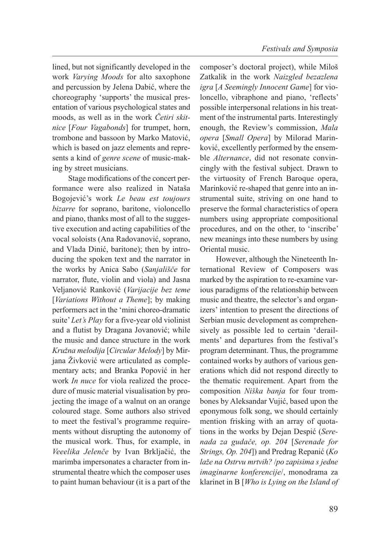lined, but not significantly developed in the work *Varying Moods* for alto saxophone and percussion by Jelena Dabić, where the choreography 'supports' the musical presentation of various psychological states and moods, as well as in the work *Četiri skitnice* [*Four Vagabonds*] for trumpet, horn, trombone and bassoon by Marko Matović, which is based on jazz elements and represents a kind of *genre scene* of music-making by street musicians.

Stage modifications of the concert performance were also realized in Nataša Bogojević's work *Le beau est toujours bizarre* for soprano, baritone, violoncello and piano, thanks most of all to the suggestive execution and acting capabilities of the vocal soloists (Ana Radovanović, soprano, and Vlada Dinić, baritone); then by introducing the spoken text and the narrator in the works by Anica Sabo (*Sanjališče* for narrator, flute, violin and viola) and Jasna Veljanović Ranković (*Varijacije bez teme* [*Variations Without a Theme*]; by making performers act in the 'mini choreo-dramatic suite' *Let's Play* for a five-year old violinist and a flutist by Dragana Jovanović; while the music and dance structure in the work *Kružna melodija* [*Circular Melody*] by Mirjana Živković were articulated as complementary acts; and Branka Popović in her work *In nuce* for viola realized the procedure of music material visualisation by projecting the image of a walnut on an orange coloured stage. Some authors also strived to meet the festival's programme requirements without disrupting the autonomy of the musical work. Thus, for example, in *Veeelika Jelenče* by Ivan Brkljačić, the marimba impersonates a character from instrumental theatre which the composer uses to paint human behaviour (it is a part of the

composer's doctoral project), while Miloš Zatkalik in the work *Naizgled bezazlena igra* [*A Seemingly Innocent Game*] for violoncello, vibraphone and piano, 'reflects' possible interpersonal relations in his treatment of the instrumental parts. Interestingly enough, the Review's commission, *Mala opera* [*Small Opera*] by Milorad Marinković, excellently performed by the ensemble *Alternance*, did not resonate convincingly with the festival subject. Drawn to the virtuosity of French Baroque opera, Marinković re-shaped that genre into an instrumental suite, striving on one hand to preserve the formal characteristics of opera numbers using appropriate compositional procedures, and on the other, to 'inscribe' new meanings into these numbers by using Oriental music.

However, although the Nineteenth International Review of Composers was marked by the aspiration to re-examine various paradigms of the relationship between music and theatre, the selector's and organizers' intention to present the directions of Serbian music development as comprehensively as possible led to certain 'derailments' and departures from the festival's program determinant. Thus, the programme contained works by authors of various generations which did not respond directly to the thematic requirement. Apart from the composition *Niška banja* for four trombones by Aleksandar Vujić, based upon the eponymous folk song, we should certainly mention frisking with an array of quotations in the works by Dejan Despić (*Serenada za gudače, op. 204* [*Serenade for Strings, Op. 204*]) and Predrag Repanić (*Ko laže na Ostrvu mrtvih?* /*po zapisima s jedne imaginarne konferencije*/, monodrama za klarinet in B [*Who is Lying on the Island of*